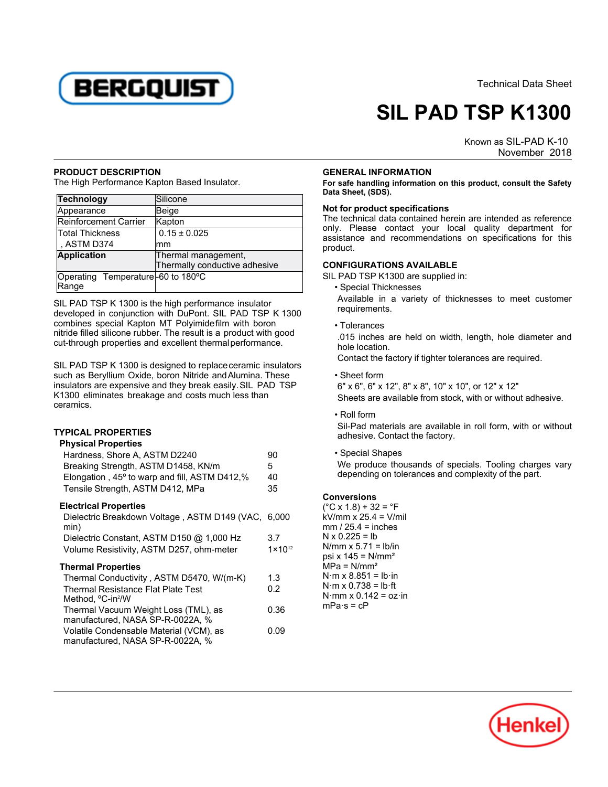

Technical Data Sheet

# **SIL PAD TSP K1300**

Known as SIL-PAD K-10 November -2018

#### **PRODUCT DESCRIPTION**

The High Performance Kapton Based Insulator.

| Technology                                 | Silicone                      |
|--------------------------------------------|-------------------------------|
| Appearance                                 | Beige                         |
| Reinforcement Carrier                      | Kapton                        |
| Total Thickness                            | $0.15 \pm 0.025$              |
| , ASTM D374                                | mm                            |
| <b>Application</b>                         | Thermal management,           |
|                                            | Thermally conductive adhesive |
| Operating Temperature-60 to 180°C<br>Range |                               |

SIL PAD TSP K 1300 is the high performance insulator developed in conjunction with DuPont. SIL PAD TSP K 1300 combines special Kapton MT Polyimidefilm with boron nitride filled silicone rubber. The result is a product with good cut-through properties and excellent thermalperformance.

SIL PAD TSP K 1300 is designed to replace ceramic insulators such as Beryllium Oxide, boron Nitride andAlumina. These insulators are expensive and they break easily.SIL PAD TSP K1300 eliminates breakage and costs much less than ceramics.

## **TYPICAL PROPERTIES**

## **Physical Properties**

| Hardness, Shore A, ASTM D2240<br>Breaking Strength, ASTM D1458, KN/m<br>Elongation, 45° to warp and fill, ASTM D412,%<br>Tensile Strength, ASTM D412, MPa | 90<br>5.<br>40<br>35 |
|-----------------------------------------------------------------------------------------------------------------------------------------------------------|----------------------|
| <b>Electrical Properties</b>                                                                                                                              |                      |
| Dielectric Breakdown Voltage, ASTM D149 (VAC, 6,000<br>min)                                                                                               |                      |
| Dielectric Constant, ASTM D150 @ 1,000 Hz                                                                                                                 | 3.7                  |
| Volume Resistivity, ASTM D257, ohm-meter                                                                                                                  | $1 \times 10^{12}$   |
| <b>Thermal Properties</b>                                                                                                                                 |                      |
| Thermal Conductivity, ASTM D5470, W/(m-K)                                                                                                                 | 1.3                  |
| <b>Thermal Resistance Flat Plate Test</b><br>Method, <sup>o</sup> C-in <sup>2</sup> /W                                                                    | 0.2                  |
| Thermal Vacuum Weight Loss (TML), as<br>manufactured, NASA SP-R-0022A, %                                                                                  | 0.36                 |
| Volatile Condensable Material (VCM), as<br>manufactured. NASA SP-R-0022A. %                                                                               | 0.09                 |

#### **GENERAL INFORMATION**

**For safe handling information on this product, consult the Safety Data Sheet, (SDS).**

### **Not for product specifications**

The technical data contained herein are intended as reference only. Please contact your local quality department for assistance and recommendations on specifications for this product.

# **CONFIGURATIONS AVAILABLE**

SIL PAD TSP K1300 are supplied in:

• Special Thicknesses Available in a variety of thicknesses to meet customer requirements.

• Tolerances.015 inches are held on width, length, hole diameter and hole location.

Contact the factory if tighter tolerances are required.

• Sheet form 6" x 6", 6" x 12", 8" x 8", 10" x 10", or 12" x 12" Sheets are available from stock, with or without adhesive.

- Roll formSil-Pad materials are available in roll form, with or without adhesive. Contact the factory.
- Special Shapes

We produce thousands of specials. Tooling charges vary depending on tolerances and complexity of the part.

## **Conversions**

 $(C X 1.8) + 32 = C F$  $kV/mm \times 25.4 = V/mil$  $mm / 25.4 = inches$  $N \times 0.225 = lb$  N/mm x 5.71 = lb/in psi x  $145 = N/mm^2$  $MPa = N/mm^2$  $N·m \times 8.851 = lb·in$  $N·m \times 0.738 = lb·ft$ N·mm x 0.142 = oz·in mPa·s = cP